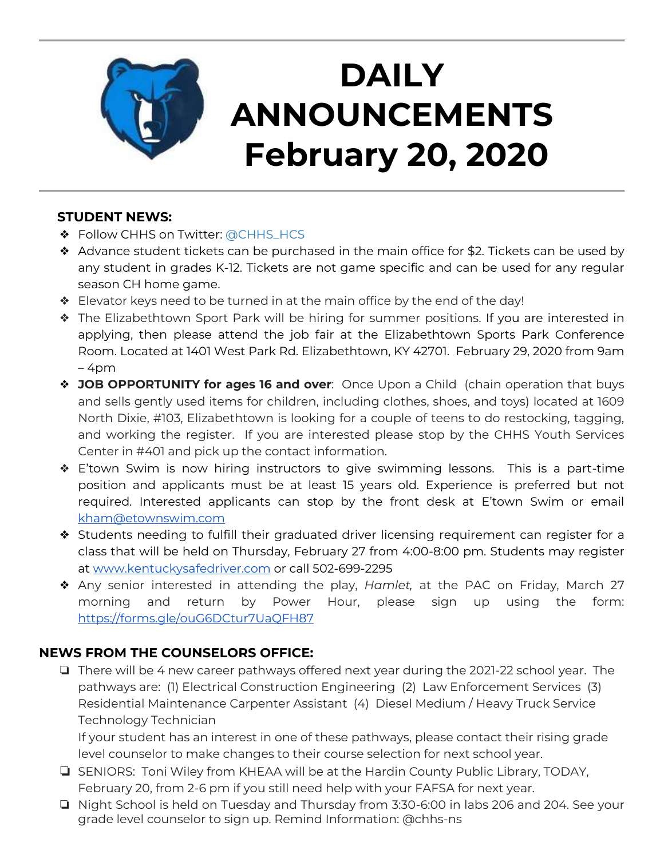

## **DAILY ANNOUNCEMENTS February 20, 2020**

### **STUDENT NEWS:**

- ❖ Follow CHHS on Twitter: [@CHHS\\_HCS](https://twitter.com/CHHS_HCS)
- ❖ Advance student tickets can be purchased in the main office for \$2. Tickets can be used by any student in grades K-12. Tickets are not game specific and can be used for any regular season CH home game.
- ❖ Elevator keys need to be turned in at the main office by the end of the day!
- ❖ The Elizabethtown Sport Park will be hiring for summer positions. If you are interested in applying, then please attend the job fair at the Elizabethtown Sports Park Conference Room. Located at 1401 West Park Rd. Elizabethtown, KY 42701. February 29, 2020 from 9am – 4pm
- ❖ **JOB OPPORTUNITY for ages 16 and over**: Once Upon a Child (chain operation that buys and sells gently used items for children, including clothes, shoes, and toys) located at 1609 North Dixie, #103, Elizabethtown is looking for a couple of teens to do restocking, tagging, and working the register. If you are interested please stop by the CHHS Youth Services Center in #401 and pick up the contact information.
- ❖ E'town Swim is now hiring instructors to give swimming lessons. This is a part-time position and applicants must be at least 15 years old. Experience is preferred but not required. Interested applicants can stop by the front desk at E'town Swim or email [kham@etownswim.com](mailto:kham@etownswim.com)
- ❖ Students needing to fulfill their graduated driver licensing requirement can register for a class that will be held on Thursday, February 27 from 4:00-8:00 pm. Students may register at [www.kentuckysafedriver.com](http://www.kentuckysafedriver.com/) or call 502-699-2295
- ❖ Any senior interested in attending the play, *Hamlet,* at the PAC on Friday, March 27 morning and return by Power Hour, please sign up using the form: <https://forms.gle/ouG6DCtur7UaQFH87>

## **NEWS FROM THE COUNSELORS OFFICE:**

❏ There will be 4 new career pathways offered next year during the 2021-22 school year. The pathways are: (1) Electrical Construction Engineering (2) Law Enforcement Services (3) Residential Maintenance Carpenter Assistant (4) Diesel Medium / Heavy Truck Service Technology Technician

If your student has an interest in one of these pathways, please contact their rising grade level counselor to make changes to their course selection for next school year.

- ❏ SENIORS: Toni Wiley from KHEAA will be at the Hardin County Public Library, TODAY, February 20, from 2-6 pm if you still need help with your FAFSA for next year.
- ❏ Night School is held on Tuesday and Thursday from 3:30-6:00 in labs 206 and 204. See your grade level counselor to sign up. Remind Information: @chhs-ns